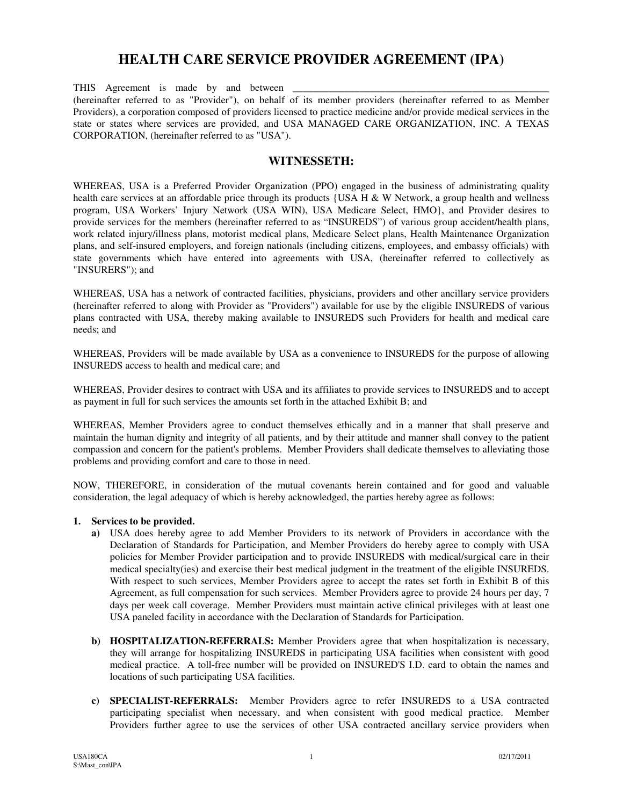# **HEALTH CARE SERVICE PROVIDER AGREEMENT (IPA)**

THIS Agreement is made by and between (hereinafter referred to as "Provider"), on behalf of its member providers (hereinafter referred to as Member Providers), a corporation composed of providers licensed to practice medicine and/or provide medical services in the state or states where services are provided, and USA MANAGED CARE ORGANIZATION, INC. A TEXAS CORPORATION, (hereinafter referred to as "USA").

#### **WITNESSETH:**

WHEREAS, USA is a Preferred Provider Organization (PPO) engaged in the business of administrating quality health care services at an affordable price through its products {USA H & W Network, a group health and wellness program, USA Workers' Injury Network (USA WIN), USA Medicare Select, HMO}, and Provider desires to provide services for the members (hereinafter referred to as "INSUREDS") of various group accident/health plans, work related injury/illness plans, motorist medical plans, Medicare Select plans, Health Maintenance Organization plans, and self-insured employers, and foreign nationals (including citizens, employees, and embassy officials) with state governments which have entered into agreements with USA, (hereinafter referred to collectively as "INSURERS"); and

WHEREAS, USA has a network of contracted facilities, physicians, providers and other ancillary service providers (hereinafter referred to along with Provider as "Providers") available for use by the eligible INSUREDS of various plans contracted with USA, thereby making available to INSUREDS such Providers for health and medical care needs; and

WHEREAS, Providers will be made available by USA as a convenience to INSUREDS for the purpose of allowing INSUREDS access to health and medical care; and

WHEREAS, Provider desires to contract with USA and its affiliates to provide services to INSUREDS and to accept as payment in full for such services the amounts set forth in the attached Exhibit B; and

WHEREAS, Member Providers agree to conduct themselves ethically and in a manner that shall preserve and maintain the human dignity and integrity of all patients, and by their attitude and manner shall convey to the patient compassion and concern for the patient's problems. Member Providers shall dedicate themselves to alleviating those problems and providing comfort and care to those in need.

NOW, THEREFORE, in consideration of the mutual covenants herein contained and for good and valuable consideration, the legal adequacy of which is hereby acknowledged, the parties hereby agree as follows:

#### **1. Services to be provided.**

- **a)** USA does hereby agree to add Member Providers to its network of Providers in accordance with the Declaration of Standards for Participation, and Member Providers do hereby agree to comply with USA policies for Member Provider participation and to provide INSUREDS with medical/surgical care in their medical specialty(ies) and exercise their best medical judgment in the treatment of the eligible INSUREDS. With respect to such services, Member Providers agree to accept the rates set forth in Exhibit B of this Agreement, as full compensation for such services. Member Providers agree to provide 24 hours per day, 7 days per week call coverage. Member Providers must maintain active clinical privileges with at least one USA paneled facility in accordance with the Declaration of Standards for Participation.
- **b) HOSPITALIZATION-REFERRALS:** Member Providers agree that when hospitalization is necessary, they will arrange for hospitalizing INSUREDS in participating USA facilities when consistent with good medical practice. A toll-free number will be provided on INSURED'S I.D. card to obtain the names and locations of such participating USA facilities.
- **c) SPECIALIST-REFERRALS:** Member Providers agree to refer INSUREDS to a USA contracted participating specialist when necessary, and when consistent with good medical practice. Member Providers further agree to use the services of other USA contracted ancillary service providers when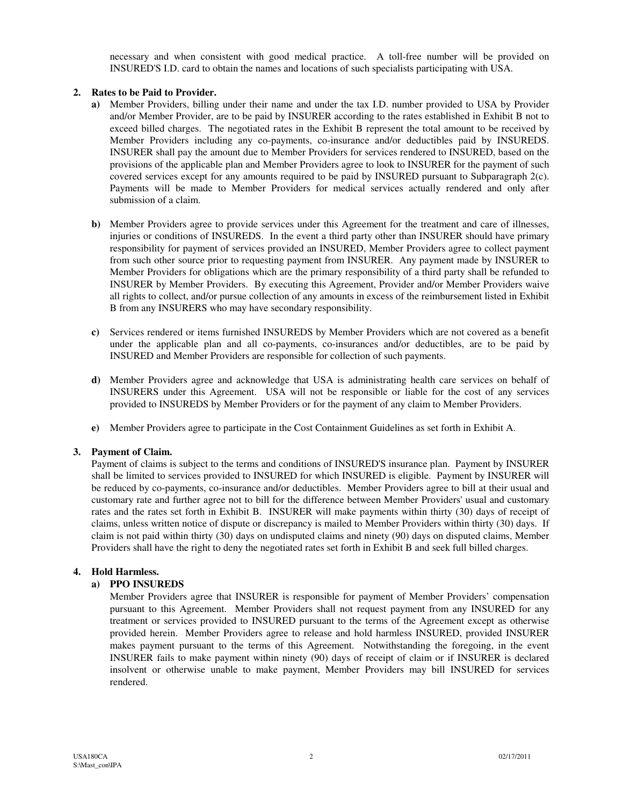necessary and when consistent with good medical practice. A toll-free number will be provided on INSURED'S I.D. card to obtain the names and locations of such specialists participating with USA.

#### **2. Rates to be Paid to Provider.**

- **a)** Member Providers, billing under their name and under the tax I.D. number provided to USA by Provider and/or Member Provider, are to be paid by INSURER according to the rates established in Exhibit B not to exceed billed charges. The negotiated rates in the Exhibit B represent the total amount to be received by Member Providers including any co-payments, co-insurance and/or deductibles paid by INSUREDS. INSURER shall pay the amount due to Member Providers for services rendered to INSURED, based on the provisions of the applicable plan and Member Providers agree to look to INSURER for the payment of such covered services except for any amounts required to be paid by INSURED pursuant to Subparagraph 2(c). Payments will be made to Member Providers for medical services actually rendered and only after submission of a claim.
- **b)** Member Providers agree to provide services under this Agreement for the treatment and care of illnesses, injuries or conditions of INSUREDS. In the event a third party other than INSURER should have primary responsibility for payment of services provided an INSURED, Member Providers agree to collect payment from such other source prior to requesting payment from INSURER. Any payment made by INSURER to Member Providers for obligations which are the primary responsibility of a third party shall be refunded to INSURER by Member Providers. By executing this Agreement, Provider and/or Member Providers waive all rights to collect, and/or pursue collection of any amounts in excess of the reimbursement listed in Exhibit B from any INSURERS who may have secondary responsibility.
- **c)** Services rendered or items furnished INSUREDS by Member Providers which are not covered as a benefit under the applicable plan and all co-payments, co-insurances and/or deductibles, are to be paid by INSURED and Member Providers are responsible for collection of such payments.
- **d)** Member Providers agree and acknowledge that USA is administrating health care services on behalf of INSURERS under this Agreement. USA will not be responsible or liable for the cost of any services provided to INSUREDS by Member Providers or for the payment of any claim to Member Providers.
- **e)** Member Providers agree to participate in the Cost Containment Guidelines as set forth in Exhibit A.

#### **3. Payment of Claim.**

Payment of claims is subject to the terms and conditions of INSURED'S insurance plan. Payment by INSURER shall be limited to services provided to INSURED for which INSURED is eligible. Payment by INSURER will be reduced by co-payments, co-insurance and/or deductibles. Member Providers agree to bill at their usual and customary rate and further agree not to bill for the difference between Member Providers' usual and customary rates and the rates set forth in Exhibit B. INSURER will make payments within thirty (30) days of receipt of claims, unless written notice of dispute or discrepancy is mailed to Member Providers within thirty (30) days. If claim is not paid within thirty (30) days on undisputed claims and ninety (90) days on disputed claims, Member Providers shall have the right to deny the negotiated rates set forth in Exhibit B and seek full billed charges.

#### **4. Hold Harmless.**

#### **a) PPO INSUREDS**

Member Providers agree that INSURER is responsible for payment of Member Providers' compensation pursuant to this Agreement. Member Providers shall not request payment from any INSURED for any treatment or services provided to INSURED pursuant to the terms of the Agreement except as otherwise provided herein. Member Providers agree to release and hold harmless INSURED, provided INSURER makes payment pursuant to the terms of this Agreement. Notwithstanding the foregoing, in the event INSURER fails to make payment within ninety (90) days of receipt of claim or if INSURER is declared insolvent or otherwise unable to make payment, Member Providers may bill INSURED for services rendered.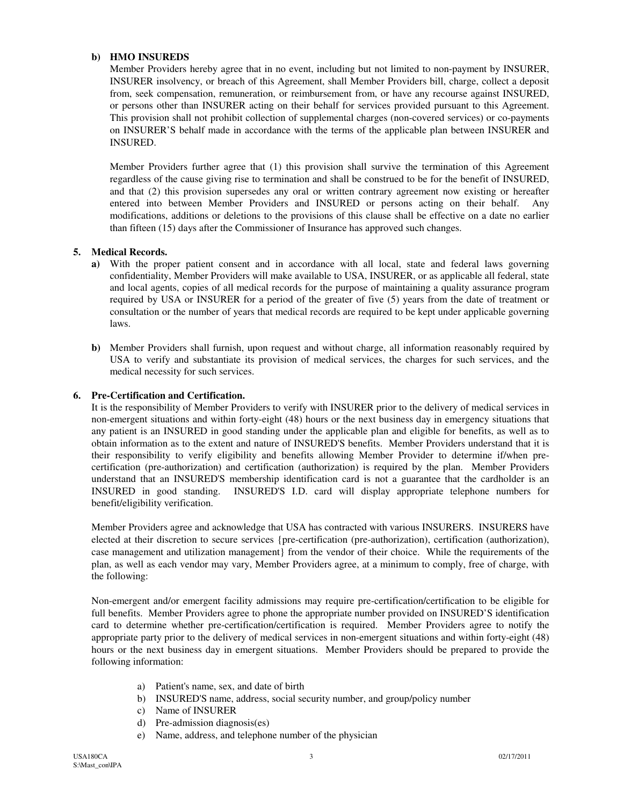#### **b) HMO INSUREDS**

Member Providers hereby agree that in no event, including but not limited to non-payment by INSURER, INSURER insolvency, or breach of this Agreement, shall Member Providers bill, charge, collect a deposit from, seek compensation, remuneration, or reimbursement from, or have any recourse against INSURED, or persons other than INSURER acting on their behalf for services provided pursuant to this Agreement. This provision shall not prohibit collection of supplemental charges (non-covered services) or co-payments on INSURER'S behalf made in accordance with the terms of the applicable plan between INSURER and INSURED.

Member Providers further agree that (1) this provision shall survive the termination of this Agreement regardless of the cause giving rise to termination and shall be construed to be for the benefit of INSURED, and that (2) this provision supersedes any oral or written contrary agreement now existing or hereafter entered into between Member Providers and INSURED or persons acting on their behalf. Any modifications, additions or deletions to the provisions of this clause shall be effective on a date no earlier than fifteen (15) days after the Commissioner of Insurance has approved such changes.

#### **5. Medical Records.**

- **a)** With the proper patient consent and in accordance with all local, state and federal laws governing confidentiality, Member Providers will make available to USA, INSURER, or as applicable all federal, state and local agents, copies of all medical records for the purpose of maintaining a quality assurance program required by USA or INSURER for a period of the greater of five (5) years from the date of treatment or consultation or the number of years that medical records are required to be kept under applicable governing laws.
- **b)** Member Providers shall furnish, upon request and without charge, all information reasonably required by USA to verify and substantiate its provision of medical services, the charges for such services, and the medical necessity for such services.

#### **6. Pre-Certification and Certification.**

It is the responsibility of Member Providers to verify with INSURER prior to the delivery of medical services in non-emergent situations and within forty-eight (48) hours or the next business day in emergency situations that any patient is an INSURED in good standing under the applicable plan and eligible for benefits, as well as to obtain information as to the extent and nature of INSURED'S benefits. Member Providers understand that it is their responsibility to verify eligibility and benefits allowing Member Provider to determine if/when precertification (pre-authorization) and certification (authorization) is required by the plan. Member Providers understand that an INSURED'S membership identification card is not a guarantee that the cardholder is an INSURED in good standing. INSURED'S I.D. card will display appropriate telephone numbers for benefit/eligibility verification.

Member Providers agree and acknowledge that USA has contracted with various INSURERS. INSURERS have elected at their discretion to secure services {pre-certification (pre-authorization), certification (authorization), case management and utilization management} from the vendor of their choice. While the requirements of the plan, as well as each vendor may vary, Member Providers agree, at a minimum to comply, free of charge, with the following:

Non-emergent and/or emergent facility admissions may require pre-certification/certification to be eligible for full benefits. Member Providers agree to phone the appropriate number provided on INSURED'S identification card to determine whether pre-certification/certification is required. Member Providers agree to notify the appropriate party prior to the delivery of medical services in non-emergent situations and within forty-eight (48) hours or the next business day in emergent situations. Member Providers should be prepared to provide the following information:

- a) Patient's name, sex, and date of birth
- b) INSURED'S name, address, social security number, and group/policy number
- c) Name of INSURER
- d) Pre-admission diagnosis(es)
- e) Name, address, and telephone number of the physician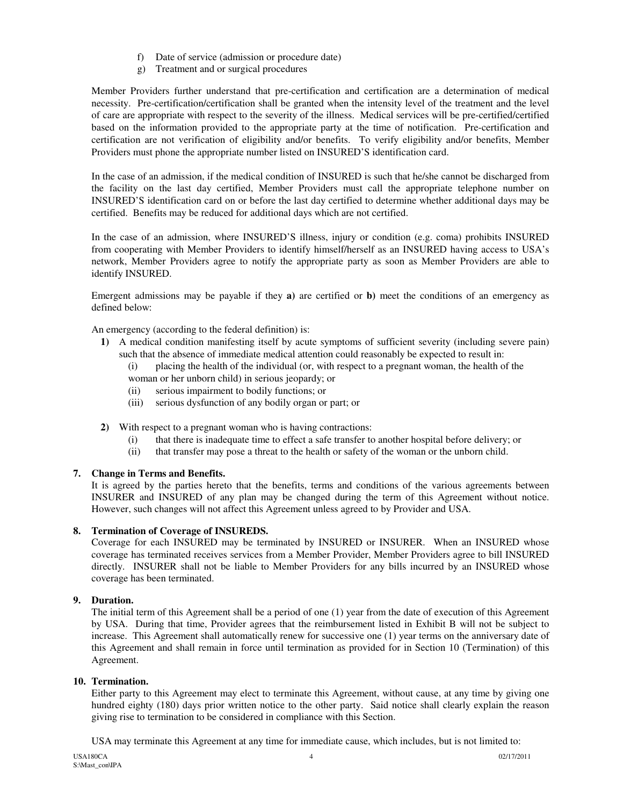- f) Date of service (admission or procedure date)
- g) Treatment and or surgical procedures

Member Providers further understand that pre-certification and certification are a determination of medical necessity. Pre-certification/certification shall be granted when the intensity level of the treatment and the level of care are appropriate with respect to the severity of the illness. Medical services will be pre-certified/certified based on the information provided to the appropriate party at the time of notification. Pre-certification and certification are not verification of eligibility and/or benefits. To verify eligibility and/or benefits, Member Providers must phone the appropriate number listed on INSURED'S identification card.

In the case of an admission, if the medical condition of INSURED is such that he/she cannot be discharged from the facility on the last day certified, Member Providers must call the appropriate telephone number on INSURED'S identification card on or before the last day certified to determine whether additional days may be certified. Benefits may be reduced for additional days which are not certified.

In the case of an admission, where INSURED'S illness, injury or condition (e.g. coma) prohibits INSURED from cooperating with Member Providers to identify himself/herself as an INSURED having access to USA's network, Member Providers agree to notify the appropriate party as soon as Member Providers are able to identify INSURED.

Emergent admissions may be payable if they **a)** are certified or **b)** meet the conditions of an emergency as defined below:

An emergency (according to the federal definition) is:

- **1)** A medical condition manifesting itself by acute symptoms of sufficient severity (including severe pain) such that the absence of immediate medical attention could reasonably be expected to result in:
	- (i) placing the health of the individual (or, with respect to a pregnant woman, the health of the woman or her unborn child) in serious jeopardy; or
	- (ii) serious impairment to bodily functions; or
	- (iii) serious dysfunction of any bodily organ or part; or
- **2)** With respect to a pregnant woman who is having contractions:
	- (i) that there is inadequate time to effect a safe transfer to another hospital before delivery; or
	- (ii) that transfer may pose a threat to the health or safety of the woman or the unborn child.

#### **7. Change in Terms and Benefits.**

It is agreed by the parties hereto that the benefits, terms and conditions of the various agreements between INSURER and INSURED of any plan may be changed during the term of this Agreement without notice. However, such changes will not affect this Agreement unless agreed to by Provider and USA.

#### **8. Termination of Coverage of INSUREDS.**

Coverage for each INSURED may be terminated by INSURED or INSURER. When an INSURED whose coverage has terminated receives services from a Member Provider, Member Providers agree to bill INSURED directly. INSURER shall not be liable to Member Providers for any bills incurred by an INSURED whose coverage has been terminated.

#### **9. Duration.**

The initial term of this Agreement shall be a period of one (1) year from the date of execution of this Agreement by USA. During that time, Provider agrees that the reimbursement listed in Exhibit B will not be subject to increase. This Agreement shall automatically renew for successive one (1) year terms on the anniversary date of this Agreement and shall remain in force until termination as provided for in Section 10 (Termination) of this Agreement.

#### **10. Termination.**

Either party to this Agreement may elect to terminate this Agreement, without cause, at any time by giving one hundred eighty (180) days prior written notice to the other party. Said notice shall clearly explain the reason giving rise to termination to be considered in compliance with this Section.

USA may terminate this Agreement at any time for immediate cause, which includes, but is not limited to: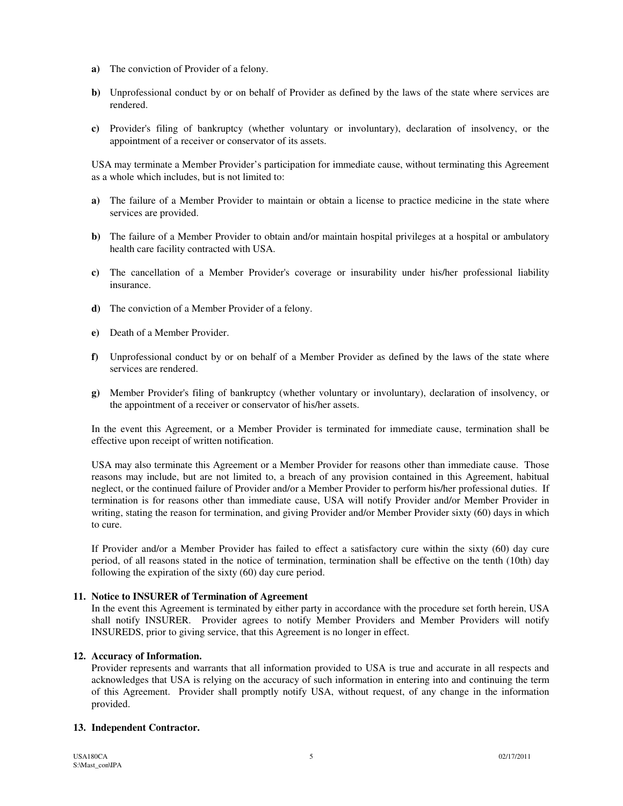- **a)** The conviction of Provider of a felony.
- **b)** Unprofessional conduct by or on behalf of Provider as defined by the laws of the state where services are rendered.
- **c)** Provider's filing of bankruptcy (whether voluntary or involuntary), declaration of insolvency, or the appointment of a receiver or conservator of its assets.

USA may terminate a Member Provider's participation for immediate cause, without terminating this Agreement as a whole which includes, but is not limited to:

- **a)** The failure of a Member Provider to maintain or obtain a license to practice medicine in the state where services are provided.
- **b**) The failure of a Member Provider to obtain and/or maintain hospital privileges at a hospital or ambulatory health care facility contracted with USA.
- **c)** The cancellation of a Member Provider's coverage or insurability under his/her professional liability insurance.
- **d)** The conviction of a Member Provider of a felony.
- **e)** Death of a Member Provider.
- **f)** Unprofessional conduct by or on behalf of a Member Provider as defined by the laws of the state where services are rendered.
- **g)** Member Provider's filing of bankruptcy (whether voluntary or involuntary), declaration of insolvency, or the appointment of a receiver or conservator of his/her assets.

In the event this Agreement, or a Member Provider is terminated for immediate cause, termination shall be effective upon receipt of written notification.

USA may also terminate this Agreement or a Member Provider for reasons other than immediate cause. Those reasons may include, but are not limited to, a breach of any provision contained in this Agreement, habitual neglect, or the continued failure of Provider and/or a Member Provider to perform his/her professional duties. If termination is for reasons other than immediate cause, USA will notify Provider and/or Member Provider in writing, stating the reason for termination, and giving Provider and/or Member Provider sixty (60) days in which to cure.

If Provider and/or a Member Provider has failed to effect a satisfactory cure within the sixty (60) day cure period, of all reasons stated in the notice of termination, termination shall be effective on the tenth (10th) day following the expiration of the sixty (60) day cure period.

#### **11. Notice to INSURER of Termination of Agreement**

In the event this Agreement is terminated by either party in accordance with the procedure set forth herein, USA shall notify INSURER. Provider agrees to notify Member Providers and Member Providers will notify INSUREDS, prior to giving service, that this Agreement is no longer in effect.

#### **12. Accuracy of Information.**

Provider represents and warrants that all information provided to USA is true and accurate in all respects and acknowledges that USA is relying on the accuracy of such information in entering into and continuing the term of this Agreement. Provider shall promptly notify USA, without request, of any change in the information provided.

#### **13. Independent Contractor.**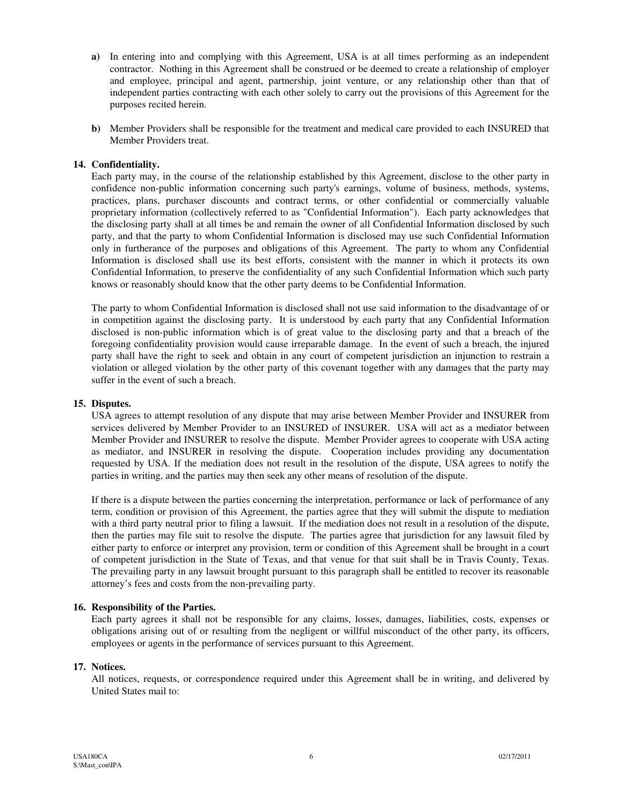- **a)** In entering into and complying with this Agreement, USA is at all times performing as an independent contractor. Nothing in this Agreement shall be construed or be deemed to create a relationship of employer and employee, principal and agent, partnership, joint venture, or any relationship other than that of independent parties contracting with each other solely to carry out the provisions of this Agreement for the purposes recited herein.
- **b)** Member Providers shall be responsible for the treatment and medical care provided to each INSURED that Member Providers treat.

#### **14. Confidentiality.**

Each party may, in the course of the relationship established by this Agreement, disclose to the other party in confidence non-public information concerning such party's earnings, volume of business, methods, systems, practices, plans, purchaser discounts and contract terms, or other confidential or commercially valuable proprietary information (collectively referred to as "Confidential Information"). Each party acknowledges that the disclosing party shall at all times be and remain the owner of all Confidential Information disclosed by such party, and that the party to whom Confidential Information is disclosed may use such Confidential Information only in furtherance of the purposes and obligations of this Agreement. The party to whom any Confidential Information is disclosed shall use its best efforts, consistent with the manner in which it protects its own Confidential Information, to preserve the confidentiality of any such Confidential Information which such party knows or reasonably should know that the other party deems to be Confidential Information.

The party to whom Confidential Information is disclosed shall not use said information to the disadvantage of or in competition against the disclosing party. It is understood by each party that any Confidential Information disclosed is non-public information which is of great value to the disclosing party and that a breach of the foregoing confidentiality provision would cause irreparable damage. In the event of such a breach, the injured party shall have the right to seek and obtain in any court of competent jurisdiction an injunction to restrain a violation or alleged violation by the other party of this covenant together with any damages that the party may suffer in the event of such a breach.

#### **15. Disputes.**

USA agrees to attempt resolution of any dispute that may arise between Member Provider and INSURER from services delivered by Member Provider to an INSURED of INSURER. USA will act as a mediator between Member Provider and INSURER to resolve the dispute. Member Provider agrees to cooperate with USA acting as mediator, and INSURER in resolving the dispute. Cooperation includes providing any documentation requested by USA. If the mediation does not result in the resolution of the dispute, USA agrees to notify the parties in writing, and the parties may then seek any other means of resolution of the dispute.

If there is a dispute between the parties concerning the interpretation, performance or lack of performance of any term, condition or provision of this Agreement, the parties agree that they will submit the dispute to mediation with a third party neutral prior to filing a lawsuit. If the mediation does not result in a resolution of the dispute, then the parties may file suit to resolve the dispute. The parties agree that jurisdiction for any lawsuit filed by either party to enforce or interpret any provision, term or condition of this Agreement shall be brought in a court of competent jurisdiction in the State of Texas, and that venue for that suit shall be in Travis County, Texas. The prevailing party in any lawsuit brought pursuant to this paragraph shall be entitled to recover its reasonable attorney's fees and costs from the non-prevailing party.

#### **16. Responsibility of the Parties.**

Each party agrees it shall not be responsible for any claims, losses, damages, liabilities, costs, expenses or obligations arising out of or resulting from the negligent or willful misconduct of the other party, its officers, employees or agents in the performance of services pursuant to this Agreement.

#### **17. Notices.**

All notices, requests, or correspondence required under this Agreement shall be in writing, and delivered by United States mail to: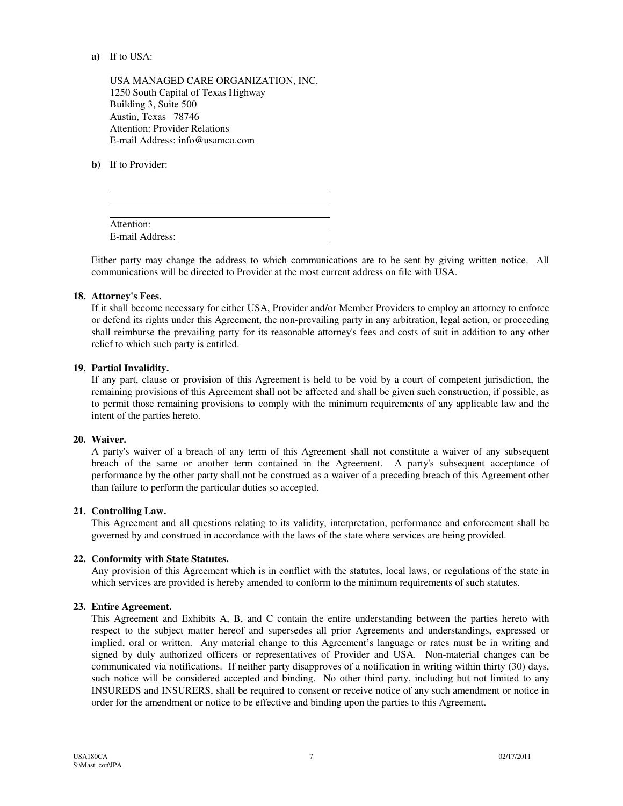#### **a)** If to USA:

 USA MANAGED CARE ORGANIZATION, INC. 1250 South Capital of Texas Highway Building 3, Suite 500 Austin, Texas 78746 Attention: Provider Relations E-mail Address: info@usamco.com

**b)** If to Provider:

l

| Attention:      |  |  |
|-----------------|--|--|
| E-mail Address: |  |  |

Either party may change the address to which communications are to be sent by giving written notice. All communications will be directed to Provider at the most current address on file with USA.

#### **18. Attorney's Fees.**

If it shall become necessary for either USA, Provider and/or Member Providers to employ an attorney to enforce or defend its rights under this Agreement, the non-prevailing party in any arbitration, legal action, or proceeding shall reimburse the prevailing party for its reasonable attorney's fees and costs of suit in addition to any other relief to which such party is entitled.

#### **19. Partial Invalidity.**

If any part, clause or provision of this Agreement is held to be void by a court of competent jurisdiction, the remaining provisions of this Agreement shall not be affected and shall be given such construction, if possible, as to permit those remaining provisions to comply with the minimum requirements of any applicable law and the intent of the parties hereto.

#### **20. Waiver.**

A party's waiver of a breach of any term of this Agreement shall not constitute a waiver of any subsequent breach of the same or another term contained in the Agreement. A party's subsequent acceptance of performance by the other party shall not be construed as a waiver of a preceding breach of this Agreement other than failure to perform the particular duties so accepted.

#### **21. Controlling Law.**

This Agreement and all questions relating to its validity, interpretation, performance and enforcement shall be governed by and construed in accordance with the laws of the state where services are being provided.

#### **22. Conformity with State Statutes.**

Any provision of this Agreement which is in conflict with the statutes, local laws, or regulations of the state in which services are provided is hereby amended to conform to the minimum requirements of such statutes.

#### **23. Entire Agreement.**

This Agreement and Exhibits A, B, and C contain the entire understanding between the parties hereto with respect to the subject matter hereof and supersedes all prior Agreements and understandings, expressed or implied, oral or written. Any material change to this Agreement's language or rates must be in writing and signed by duly authorized officers or representatives of Provider and USA. Non-material changes can be communicated via notifications. If neither party disapproves of a notification in writing within thirty (30) days, such notice will be considered accepted and binding. No other third party, including but not limited to any INSUREDS and INSURERS, shall be required to consent or receive notice of any such amendment or notice in order for the amendment or notice to be effective and binding upon the parties to this Agreement.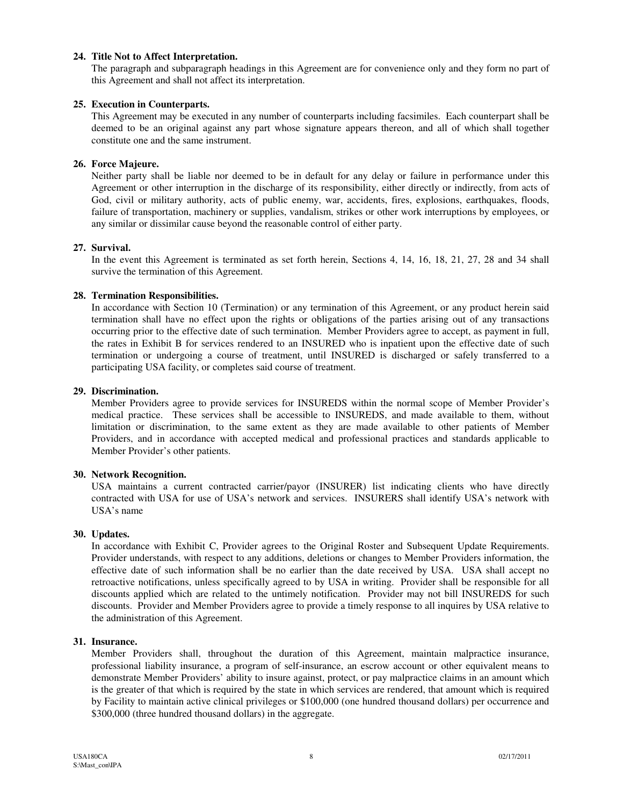#### **24. Title Not to Affect Interpretation.**

The paragraph and subparagraph headings in this Agreement are for convenience only and they form no part of this Agreement and shall not affect its interpretation.

#### **25. Execution in Counterparts.**

This Agreement may be executed in any number of counterparts including facsimiles. Each counterpart shall be deemed to be an original against any part whose signature appears thereon, and all of which shall together constitute one and the same instrument.

#### **26. Force Majeure.**

Neither party shall be liable nor deemed to be in default for any delay or failure in performance under this Agreement or other interruption in the discharge of its responsibility, either directly or indirectly, from acts of God, civil or military authority, acts of public enemy, war, accidents, fires, explosions, earthquakes, floods, failure of transportation, machinery or supplies, vandalism, strikes or other work interruptions by employees, or any similar or dissimilar cause beyond the reasonable control of either party.

#### **27. Survival.**

In the event this Agreement is terminated as set forth herein, Sections 4, 14, 16, 18, 21, 27, 28 and 34 shall survive the termination of this Agreement.

#### **28. Termination Responsibilities.**

In accordance with Section 10 (Termination) or any termination of this Agreement, or any product herein said termination shall have no effect upon the rights or obligations of the parties arising out of any transactions occurring prior to the effective date of such termination. Member Providers agree to accept, as payment in full, the rates in Exhibit B for services rendered to an INSURED who is inpatient upon the effective date of such termination or undergoing a course of treatment, until INSURED is discharged or safely transferred to a participating USA facility, or completes said course of treatment.

#### **29. Discrimination.**

Member Providers agree to provide services for INSUREDS within the normal scope of Member Provider's medical practice. These services shall be accessible to INSUREDS, and made available to them, without limitation or discrimination, to the same extent as they are made available to other patients of Member Providers, and in accordance with accepted medical and professional practices and standards applicable to Member Provider's other patients.

#### **30. Network Recognition.**

USA maintains a current contracted carrier/payor (INSURER) list indicating clients who have directly contracted with USA for use of USA's network and services. INSURERS shall identify USA's network with USA's name

#### **30. Updates.**

In accordance with Exhibit C, Provider agrees to the Original Roster and Subsequent Update Requirements. Provider understands, with respect to any additions, deletions or changes to Member Providers information, the effective date of such information shall be no earlier than the date received by USA. USA shall accept no retroactive notifications, unless specifically agreed to by USA in writing. Provider shall be responsible for all discounts applied which are related to the untimely notification. Provider may not bill INSUREDS for such discounts. Provider and Member Providers agree to provide a timely response to all inquires by USA relative to the administration of this Agreement.

#### **31. Insurance.**

Member Providers shall, throughout the duration of this Agreement, maintain malpractice insurance, professional liability insurance, a program of self-insurance, an escrow account or other equivalent means to demonstrate Member Providers' ability to insure against, protect, or pay malpractice claims in an amount which is the greater of that which is required by the state in which services are rendered, that amount which is required by Facility to maintain active clinical privileges or \$100,000 (one hundred thousand dollars) per occurrence and \$300,000 (three hundred thousand dollars) in the aggregate.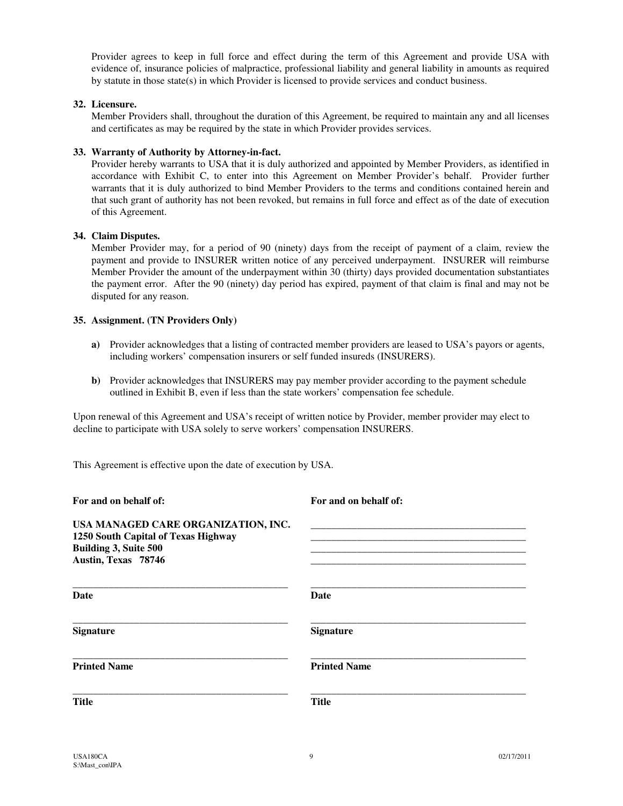Provider agrees to keep in full force and effect during the term of this Agreement and provide USA with evidence of, insurance policies of malpractice, professional liability and general liability in amounts as required by statute in those state(s) in which Provider is licensed to provide services and conduct business.

#### **32. Licensure.**

Member Providers shall, throughout the duration of this Agreement, be required to maintain any and all licenses and certificates as may be required by the state in which Provider provides services.

#### **33. Warranty of Authority by Attorney-in-fact.**

Provider hereby warrants to USA that it is duly authorized and appointed by Member Providers, as identified in accordance with Exhibit C, to enter into this Agreement on Member Provider's behalf. Provider further warrants that it is duly authorized to bind Member Providers to the terms and conditions contained herein and that such grant of authority has not been revoked, but remains in full force and effect as of the date of execution of this Agreement.

#### **34. Claim Disputes.**

Member Provider may, for a period of 90 (ninety) days from the receipt of payment of a claim, review the payment and provide to INSURER written notice of any perceived underpayment. INSURER will reimburse Member Provider the amount of the underpayment within 30 (thirty) days provided documentation substantiates the payment error. After the 90 (ninety) day period has expired, payment of that claim is final and may not be disputed for any reason.

#### **35. Assignment. (TN Providers Only)**

- **a)** Provider acknowledges that a listing of contracted member providers are leased to USA's payors or agents, including workers' compensation insurers or self funded insureds (INSURERS).
- **b)** Provider acknowledges that INSURERS may pay member provider according to the payment schedule outlined in Exhibit B, even if less than the state workers' compensation fee schedule.

Upon renewal of this Agreement and USA's receipt of written notice by Provider, member provider may elect to decline to participate with USA solely to serve workers' compensation INSURERS.

This Agreement is effective upon the date of execution by USA.

| For and on behalf of:                                                                                                      | For and on behalf of: |  |  |
|----------------------------------------------------------------------------------------------------------------------------|-----------------------|--|--|
| USA MANAGED CARE ORGANIZATION, INC.<br>1250 South Capital of Texas Highway<br>Building 3, Suite 500<br>Austin, Texas 78746 |                       |  |  |
| Date                                                                                                                       | Date                  |  |  |
| <b>Signature</b>                                                                                                           | <b>Signature</b>      |  |  |
| <b>Printed Name</b>                                                                                                        | <b>Printed Name</b>   |  |  |
| <b>Title</b>                                                                                                               | <b>Title</b>          |  |  |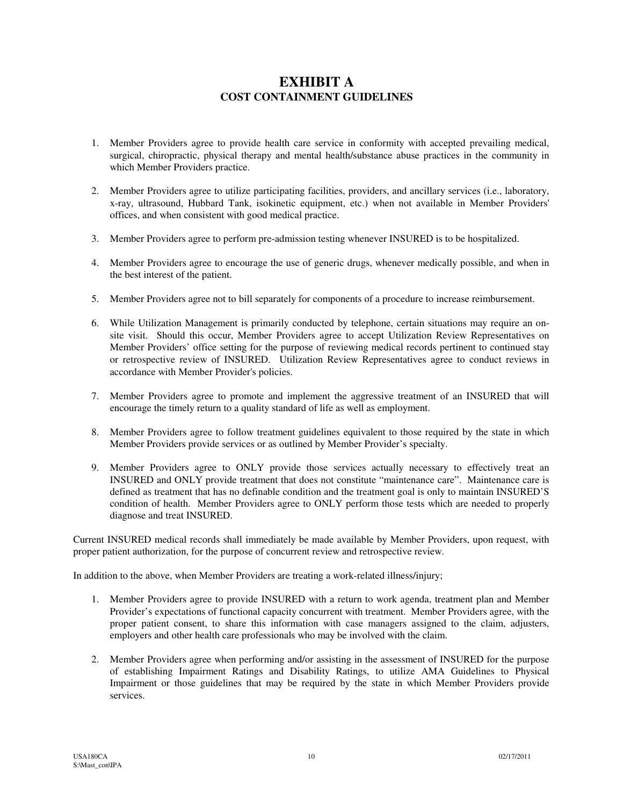### **EXHIBIT A COST CONTAINMENT GUIDELINES**

- 1. Member Providers agree to provide health care service in conformity with accepted prevailing medical, surgical, chiropractic, physical therapy and mental health/substance abuse practices in the community in which Member Providers practice.
- 2. Member Providers agree to utilize participating facilities, providers, and ancillary services (i.e., laboratory, x-ray, ultrasound, Hubbard Tank, isokinetic equipment, etc.) when not available in Member Providers' offices, and when consistent with good medical practice.
- 3. Member Providers agree to perform pre-admission testing whenever INSURED is to be hospitalized.
- 4. Member Providers agree to encourage the use of generic drugs, whenever medically possible, and when in the best interest of the patient.
- 5. Member Providers agree not to bill separately for components of a procedure to increase reimbursement.
- 6. While Utilization Management is primarily conducted by telephone, certain situations may require an onsite visit. Should this occur, Member Providers agree to accept Utilization Review Representatives on Member Providers' office setting for the purpose of reviewing medical records pertinent to continued stay or retrospective review of INSURED. Utilization Review Representatives agree to conduct reviews in accordance with Member Provider's policies.
- 7. Member Providers agree to promote and implement the aggressive treatment of an INSURED that will encourage the timely return to a quality standard of life as well as employment.
- 8. Member Providers agree to follow treatment guidelines equivalent to those required by the state in which Member Providers provide services or as outlined by Member Provider's specialty.
- 9. Member Providers agree to ONLY provide those services actually necessary to effectively treat an INSURED and ONLY provide treatment that does not constitute "maintenance care". Maintenance care is defined as treatment that has no definable condition and the treatment goal is only to maintain INSURED'S condition of health. Member Providers agree to ONLY perform those tests which are needed to properly diagnose and treat INSURED.

Current INSURED medical records shall immediately be made available by Member Providers, upon request, with proper patient authorization, for the purpose of concurrent review and retrospective review.

In addition to the above, when Member Providers are treating a work-related illness/injury;

- 1. Member Providers agree to provide INSURED with a return to work agenda, treatment plan and Member Provider's expectations of functional capacity concurrent with treatment. Member Providers agree, with the proper patient consent, to share this information with case managers assigned to the claim, adjusters, employers and other health care professionals who may be involved with the claim.
- 2. Member Providers agree when performing and/or assisting in the assessment of INSURED for the purpose of establishing Impairment Ratings and Disability Ratings, to utilize AMA Guidelines to Physical Impairment or those guidelines that may be required by the state in which Member Providers provide services.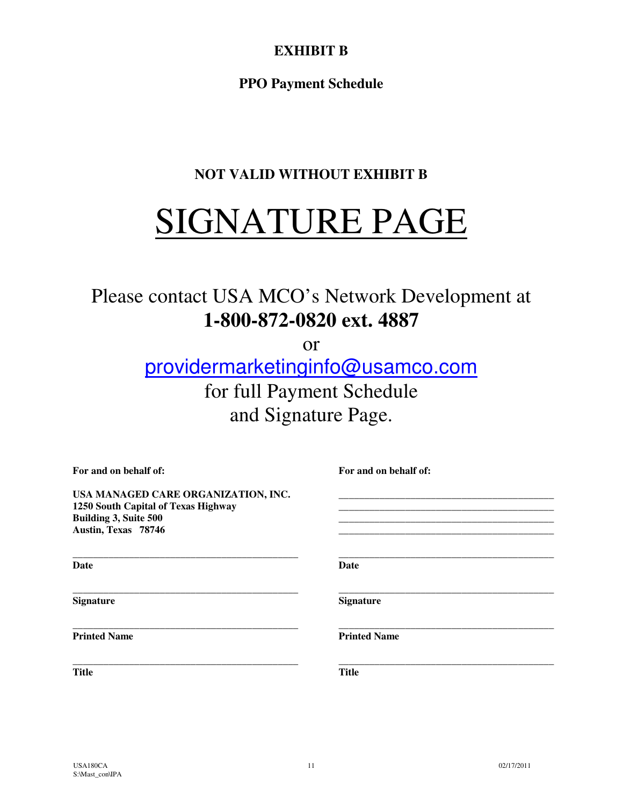# **EXHIBIT B**

**PPO Payment Schedule** 

# **NOT VALID WITHOUT EXHIBIT B**

# SIGNATURE PAGE

# Please contact USA MCO's Network Development at **1-800-872-0820 ext. 4887**

or

providermarketinginfo@usamco.com for full Payment Schedule and Signature Page.

| For and on behalf of:                                                                                                      | For and on behalf of: |  |
|----------------------------------------------------------------------------------------------------------------------------|-----------------------|--|
| USA MANAGED CARE ORGANIZATION, INC.<br>1250 South Capital of Texas Highway<br>Building 3, Suite 500<br>Austin, Texas 78746 |                       |  |
| <b>Date</b>                                                                                                                | <b>Date</b>           |  |
| <b>Signature</b>                                                                                                           | <b>Signature</b>      |  |
| <b>Printed Name</b>                                                                                                        | <b>Printed Name</b>   |  |
| <b>Title</b>                                                                                                               | <b>Title</b>          |  |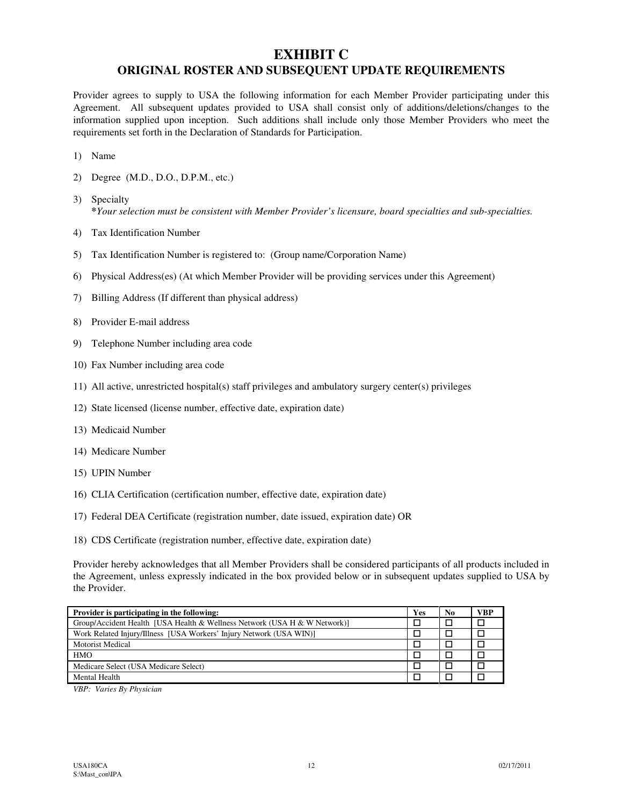## **EXHIBIT C ORIGINAL ROSTER AND SUBSEQUENT UPDATE REQUIREMENTS**

Provider agrees to supply to USA the following information for each Member Provider participating under this Agreement. All subsequent updates provided to USA shall consist only of additions/deletions/changes to the information supplied upon inception. Such additions shall include only those Member Providers who meet the requirements set forth in the Declaration of Standards for Participation.

- 1) Name
- 2) Degree (M.D., D.O., D.P.M., etc.)
- 3) Specialty **\****Your selection must be consistent with Member Provider's licensure, board specialties and sub-specialties.*
- 4) Tax Identification Number
- 5) Tax Identification Number is registered to: (Group name/Corporation Name)
- 6) Physical Address(es) (At which Member Provider will be providing services under this Agreement)
- 7) Billing Address (If different than physical address)
- 8) Provider E-mail address
- 9) Telephone Number including area code
- 10) Fax Number including area code
- 11) All active, unrestricted hospital(s) staff privileges and ambulatory surgery center(s) privileges
- 12) State licensed (license number, effective date, expiration date)
- 13) Medicaid Number
- 14) Medicare Number
- 15) UPIN Number
- 16) CLIA Certification (certification number, effective date, expiration date)
- 17) Federal DEA Certificate (registration number, date issued, expiration date) OR
- 18) CDS Certificate (registration number, effective date, expiration date)

Provider hereby acknowledges that all Member Providers shall be considered participants of all products included in the Agreement, unless expressly indicated in the box provided below or in subsequent updates supplied to USA by the Provider.

| Provider is participating in the following:                               |  | N <sub>0</sub> | VBP |
|---------------------------------------------------------------------------|--|----------------|-----|
| Group/Accident Health [USA Health & Wellness Network (USA H & W Network)] |  |                |     |
| Work Related Injury/Illness [USA Workers' Injury Network (USA WIN)]       |  |                |     |
| <b>Motorist Medical</b>                                                   |  |                |     |
| <b>HMO</b>                                                                |  |                |     |
| Medicare Select (USA Medicare Select)                                     |  |                |     |
| Mental Health                                                             |  |                |     |

*VBP: Varies By Physician*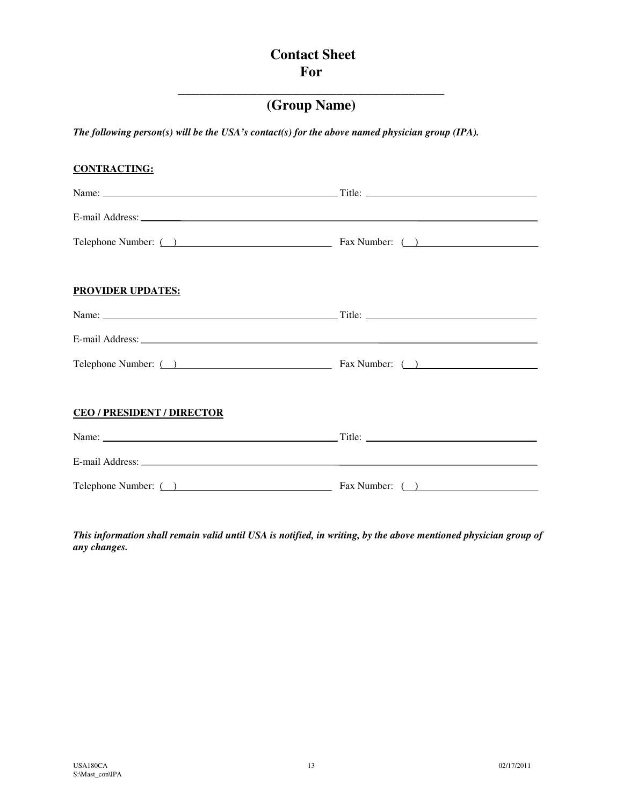# **Contact Sheet For**

# **\_\_\_\_\_\_\_\_\_\_\_\_\_\_\_\_\_\_\_\_\_\_\_\_\_\_\_\_\_\_\_\_\_\_\_\_\_ (Group Name)**

*The following person(s) will be the USA's contact(s) for the above named physician group (IPA).* 

# **CONTRACTING:** Name: Title: E-mail Address: Telephone Number: ( ) Fax Number: ( ) **PROVIDER UPDATES:** Name: Title: E-mail Address: Telephone Number: ( ) Fax Number: ( ) **CEO / PRESIDENT / DIRECTOR** Name: Title: E-mail Address: Telephone Number: ( ) Fax Number: ( )

*This information shall remain valid until USA is notified, in writing, by the above mentioned physician group of any changes.*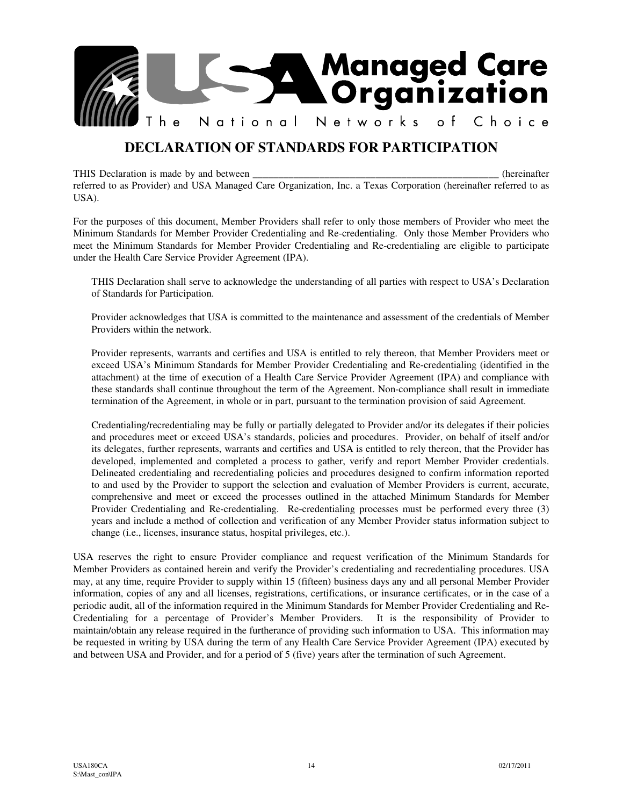

# **DECLARATION OF STANDARDS FOR PARTICIPATION**

THIS Declaration is made by and between \_\_\_\_\_\_\_\_\_\_\_\_\_\_\_\_\_\_\_\_\_\_\_\_\_\_\_\_\_\_\_\_\_\_\_\_\_\_\_\_\_\_\_\_\_\_\_\_ (hereinafter referred to as Provider) and USA Managed Care Organization, Inc. a Texas Corporation (hereinafter referred to as USA).

For the purposes of this document, Member Providers shall refer to only those members of Provider who meet the Minimum Standards for Member Provider Credentialing and Re-credentialing. Only those Member Providers who meet the Minimum Standards for Member Provider Credentialing and Re-credentialing are eligible to participate under the Health Care Service Provider Agreement (IPA).

THIS Declaration shall serve to acknowledge the understanding of all parties with respect to USA's Declaration of Standards for Participation.

Provider acknowledges that USA is committed to the maintenance and assessment of the credentials of Member Providers within the network.

Provider represents, warrants and certifies and USA is entitled to rely thereon, that Member Providers meet or exceed USA's Minimum Standards for Member Provider Credentialing and Re-credentialing (identified in the attachment) at the time of execution of a Health Care Service Provider Agreement (IPA) and compliance with these standards shall continue throughout the term of the Agreement. Non-compliance shall result in immediate termination of the Agreement, in whole or in part, pursuant to the termination provision of said Agreement.

Credentialing/recredentialing may be fully or partially delegated to Provider and/or its delegates if their policies and procedures meet or exceed USA's standards, policies and procedures. Provider, on behalf of itself and/or its delegates, further represents, warrants and certifies and USA is entitled to rely thereon, that the Provider has developed, implemented and completed a process to gather, verify and report Member Provider credentials. Delineated credentialing and recredentialing policies and procedures designed to confirm information reported to and used by the Provider to support the selection and evaluation of Member Providers is current, accurate, comprehensive and meet or exceed the processes outlined in the attached Minimum Standards for Member Provider Credentialing and Re-credentialing. Re-credentialing processes must be performed every three (3) years and include a method of collection and verification of any Member Provider status information subject to change (i.e., licenses, insurance status, hospital privileges, etc.).

USA reserves the right to ensure Provider compliance and request verification of the Minimum Standards for Member Providers as contained herein and verify the Provider's credentialing and recredentialing procedures. USA may, at any time, require Provider to supply within 15 (fifteen) business days any and all personal Member Provider information, copies of any and all licenses, registrations, certifications, or insurance certificates, or in the case of a periodic audit, all of the information required in the Minimum Standards for Member Provider Credentialing and Re-Credentialing for a percentage of Provider's Member Providers. It is the responsibility of Provider to maintain/obtain any release required in the furtherance of providing such information to USA. This information may be requested in writing by USA during the term of any Health Care Service Provider Agreement (IPA) executed by and between USA and Provider, and for a period of 5 (five) years after the termination of such Agreement.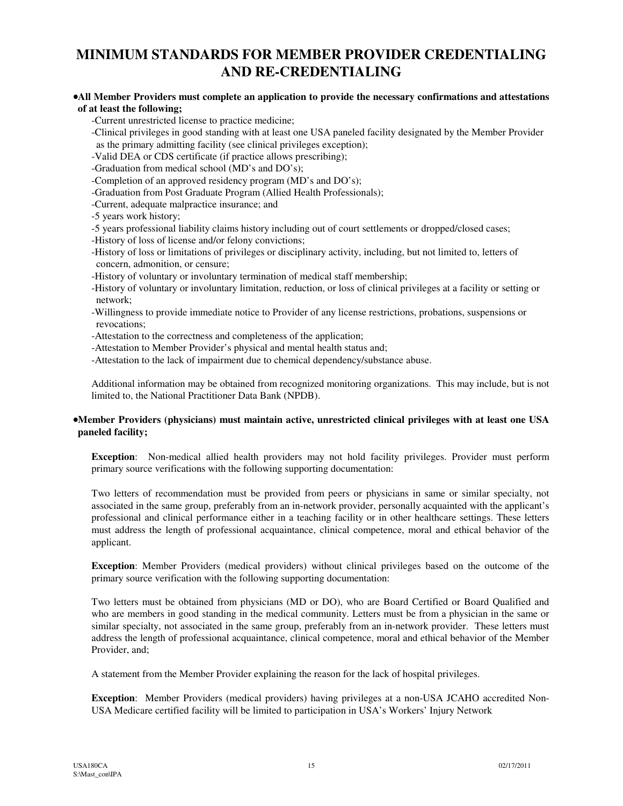# **MINIMUM STANDARDS FOR MEMBER PROVIDER CREDENTIALING AND RE-CREDENTIALING**

#### •**All Member Providers must complete an application to provide the necessary confirmations and attestations of at least the following;**

-Current unrestricted license to practice medicine;

-Clinical privileges in good standing with at least one USA paneled facility designated by the Member Provider as the primary admitting facility (see clinical privileges exception);

-Valid DEA or CDS certificate (if practice allows prescribing);

-Graduation from medical school (MD's and DO's);

-Completion of an approved residency program (MD's and DO's);

-Graduation from Post Graduate Program (Allied Health Professionals);

-Current, adequate malpractice insurance; and

- -5 years work history;
- -5 years professional liability claims history including out of court settlements or dropped/closed cases;

-History of loss of license and/or felony convictions;

-History of loss or limitations of privileges or disciplinary activity, including, but not limited to, letters of concern, admonition, or censure;

-History of voluntary or involuntary termination of medical staff membership;

-History of voluntary or involuntary limitation, reduction, or loss of clinical privileges at a facility or setting or network;

-Willingness to provide immediate notice to Provider of any license restrictions, probations, suspensions or revocations;

-Attestation to the correctness and completeness of the application;

-Attestation to Member Provider's physical and mental health status and;

-Attestation to the lack of impairment due to chemical dependency/substance abuse.

Additional information may be obtained from recognized monitoring organizations. This may include, but is not limited to, the National Practitioner Data Bank (NPDB).

#### •**Member Providers (physicians) must maintain active, unrestricted clinical privileges with at least one USA paneled facility;**

**Exception**: Non-medical allied health providers may not hold facility privileges. Provider must perform primary source verifications with the following supporting documentation:

Two letters of recommendation must be provided from peers or physicians in same or similar specialty, not associated in the same group, preferably from an in-network provider, personally acquainted with the applicant's professional and clinical performance either in a teaching facility or in other healthcare settings. These letters must address the length of professional acquaintance, clinical competence, moral and ethical behavior of the applicant.

**Exception**: Member Providers (medical providers) without clinical privileges based on the outcome of the primary source verification with the following supporting documentation:

Two letters must be obtained from physicians (MD or DO), who are Board Certified or Board Qualified and who are members in good standing in the medical community. Letters must be from a physician in the same or similar specialty, not associated in the same group, preferably from an in-network provider. These letters must address the length of professional acquaintance, clinical competence, moral and ethical behavior of the Member Provider, and;

A statement from the Member Provider explaining the reason for the lack of hospital privileges.

**Exception**: Member Providers (medical providers) having privileges at a non-USA JCAHO accredited Non-USA Medicare certified facility will be limited to participation in USA's Workers' Injury Network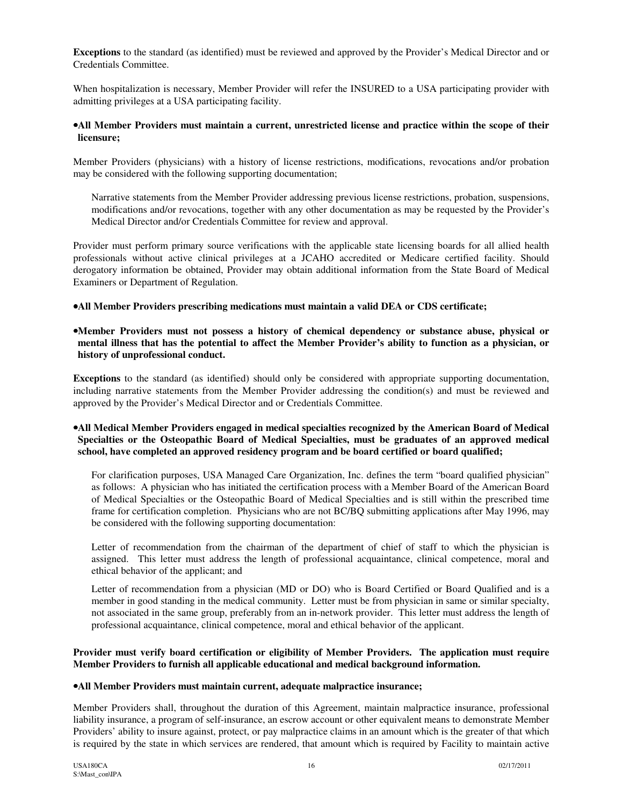**Exceptions** to the standard (as identified) must be reviewed and approved by the Provider's Medical Director and or Credentials Committee.

When hospitalization is necessary, Member Provider will refer the INSURED to a USA participating provider with admitting privileges at a USA participating facility.

#### •**All Member Providers must maintain a current, unrestricted license and practice within the scope of their licensure;**

Member Providers (physicians) with a history of license restrictions, modifications, revocations and/or probation may be considered with the following supporting documentation;

Narrative statements from the Member Provider addressing previous license restrictions, probation, suspensions, modifications and/or revocations, together with any other documentation as may be requested by the Provider's Medical Director and/or Credentials Committee for review and approval.

Provider must perform primary source verifications with the applicable state licensing boards for all allied health professionals without active clinical privileges at a JCAHO accredited or Medicare certified facility. Should derogatory information be obtained, Provider may obtain additional information from the State Board of Medical Examiners or Department of Regulation.

#### •**All Member Providers prescribing medications must maintain a valid DEA or CDS certificate;**

#### •**Member Providers must not possess a history of chemical dependency or substance abuse, physical or mental illness that has the potential to affect the Member Provider's ability to function as a physician, or history of unprofessional conduct.**

**Exceptions** to the standard (as identified) should only be considered with appropriate supporting documentation, including narrative statements from the Member Provider addressing the condition(s) and must be reviewed and approved by the Provider's Medical Director and or Credentials Committee.

#### •**All Medical Member Providers engaged in medical specialties recognized by the American Board of Medical Specialties or the Osteopathic Board of Medical Specialties, must be graduates of an approved medical school, have completed an approved residency program and be board certified or board qualified;**

For clarification purposes, USA Managed Care Organization, Inc. defines the term "board qualified physician" as follows: A physician who has initiated the certification process with a Member Board of the American Board of Medical Specialties or the Osteopathic Board of Medical Specialties and is still within the prescribed time frame for certification completion. Physicians who are not BC/BQ submitting applications after May 1996, may be considered with the following supporting documentation:

Letter of recommendation from the chairman of the department of chief of staff to which the physician is assigned. This letter must address the length of professional acquaintance, clinical competence, moral and ethical behavior of the applicant; and

Letter of recommendation from a physician (MD or DO) who is Board Certified or Board Qualified and is a member in good standing in the medical community. Letter must be from physician in same or similar specialty, not associated in the same group, preferably from an in-network provider. This letter must address the length of professional acquaintance, clinical competence, moral and ethical behavior of the applicant.

#### **Provider must verify board certification or eligibility of Member Providers. The application must require Member Providers to furnish all applicable educational and medical background information.**

#### •**All Member Providers must maintain current, adequate malpractice insurance;**

Member Providers shall, throughout the duration of this Agreement, maintain malpractice insurance, professional liability insurance, a program of self-insurance, an escrow account or other equivalent means to demonstrate Member Providers' ability to insure against, protect, or pay malpractice claims in an amount which is the greater of that which is required by the state in which services are rendered, that amount which is required by Facility to maintain active